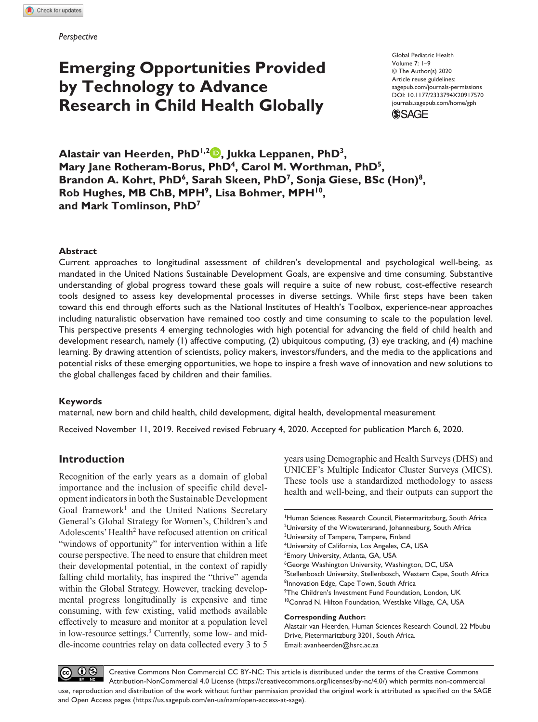# **Emerging Opportunities Provided by Technology to Advance Research in Child Health Globally**

https://doi.org/10.1177/2333794X20917570 DOI: 10.1177/2333794X20917570 Global Pediatric Health Volume 7: 1–9 © The Author(s) 2020 Article reuse guidelines: [sagepub.com/journals-permissions](https://us.sagepub.com/en-us/journals-permissions)  [journals.sagepub.com/home/gph](https://journals.sagepub.com/home/gph)



**Alastair van Heerden, PhD1,2 , Jukka Leppanen, PhD3,**  Mary Jane Rotheram-Borus, PhD<sup>4</sup>, Carol M. Worthman, PhD<sup>5</sup>, Brandon A. Kohrt, PhD<sup>6</sup>, Sarah Skeen, PhD<sup>7</sup>, Sonja Giese, BSc (Hon)<sup>8</sup>, Rob Hughes, MB ChB, MPH<sup>9</sup>, Lisa Bohmer, MPH<sup>10</sup>, **and Mark Tomlinson, PhD7**

### **Abstract**

Current approaches to longitudinal assessment of children's developmental and psychological well-being, as mandated in the United Nations Sustainable Development Goals, are expensive and time consuming. Substantive understanding of global progress toward these goals will require a suite of new robust, cost-effective research tools designed to assess key developmental processes in diverse settings. While first steps have been taken toward this end through efforts such as the National Institutes of Health's Toolbox, experience-near approaches including naturalistic observation have remained too costly and time consuming to scale to the population level. This perspective presents 4 emerging technologies with high potential for advancing the field of child health and development research, namely (1) affective computing, (2) ubiquitous computing, (3) eye tracking, and (4) machine learning. By drawing attention of scientists, policy makers, investors/funders, and the media to the applications and potential risks of these emerging opportunities, we hope to inspire a fresh wave of innovation and new solutions to the global challenges faced by children and their families.

#### **Keywords**

maternal, new born and child health, child development, digital health, developmental measurement

Received November 11, 2019. Received revised February 4, 2020. Accepted for publication March 6, 2020.

# **Introduction**

Recognition of the early years as a domain of global importance and the inclusion of specific child development indicators in both the Sustainable Development Goal framework<sup>1</sup> and the United Nations Secretary General's Global Strategy for Women's, Children's and Adolescents' Health<sup>2</sup> have refocused attention on critical "windows of opportunity" for intervention within a life course perspective. The need to ensure that children meet their developmental potential, in the context of rapidly falling child mortality, has inspired the "thrive" agenda within the Global Strategy. However, tracking developmental progress longitudinally is expensive and time consuming, with few existing, valid methods available effectively to measure and monitor at a population level in low-resource settings.<sup>3</sup> Currently, some low- and middle-income countries relay on data collected every 3 to 5

years using Demographic and Health Surveys (DHS) and UNICEF's Multiple Indicator Cluster Surveys (MICS). These tools use a standardized methodology to assess health and well-being, and their outputs can support the

1 Human Sciences Research Council, Pietermaritzburg, South Africa <sup>2</sup>University of the Witwatersrand, Johannesburg, South Africa <sup>3</sup>University of Tampere, Tampere, Finland 4 University of California, Los Angeles, CA, USA 5 Emory University, Atlanta, GA, USA 6 George Washington University, Washington, DC, USA <sup>7</sup>Stellenbosch University, Stellenbosch, Western Cape, South Africa <sup>8</sup>Innovation Edge, Cape Town, South Africa 9 The Children's Investment Fund Foundation, London, UK <sup>10</sup>Conrad N. Hilton Foundation, Westlake Village, CA, USA **Corresponding Author:**

Alastair van Heerden, Human Sciences Research Council, 22 Mbubu Drive, Pietermaritzburg 3201, South Africa. Email: [avanheerden@hsrc.ac.za](mailto:avanheerden@hsrc.ac.za)

 $\Theta$ Creative Commons Non Commercial CC BY-NC: This article is distributed under the terms of the Creative Commons Attribution-NonCommercial 4.0 License (https://creativecommons.org/licenses/by-nc/4.0/) which permits non-commercial use, reproduction and distribution of the work without further permission provided the original work is attributed as specified on the SAGE and Open Access pages (https://us.sagepub.com/en-us/nam/open-access-at-sage).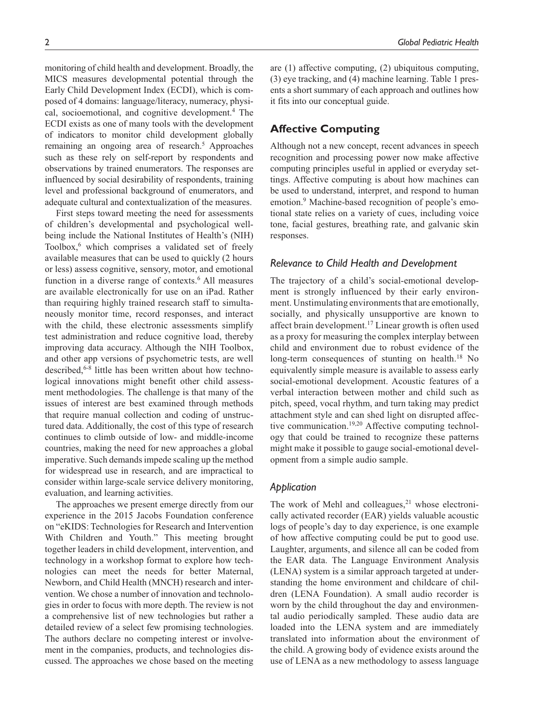monitoring of child health and development. Broadly, the MICS measures developmental potential through the Early Child Development Index (ECDI), which is composed of 4 domains: language/literacy, numeracy, physical, socioemotional, and cognitive development.<sup>4</sup> The ECDI exists as one of many tools with the development of indicators to monitor child development globally remaining an ongoing area of research.<sup>5</sup> Approaches such as these rely on self-report by respondents and observations by trained enumerators. The responses are influenced by social desirability of respondents, training level and professional background of enumerators, and adequate cultural and contextualization of the measures.

First steps toward meeting the need for assessments of children's developmental and psychological wellbeing include the National Institutes of Health's (NIH) Toolbox,<sup>6</sup> which comprises a validated set of freely available measures that can be used to quickly (2 hours or less) assess cognitive, sensory, motor, and emotional function in a diverse range of contexts.<sup>6</sup> All measures are available electronically for use on an iPad. Rather than requiring highly trained research staff to simultaneously monitor time, record responses, and interact with the child, these electronic assessments simplify test administration and reduce cognitive load, thereby improving data accuracy. Although the NIH Toolbox, and other app versions of psychometric tests, are well described,<sup>6-8</sup> little has been written about how technological innovations might benefit other child assessment methodologies. The challenge is that many of the issues of interest are best examined through methods that require manual collection and coding of unstructured data. Additionally, the cost of this type of research continues to climb outside of low- and middle-income countries, making the need for new approaches a global imperative. Such demands impede scaling up the method for widespread use in research, and are impractical to consider within large-scale service delivery monitoring, evaluation, and learning activities.

The approaches we present emerge directly from our experience in the 2015 Jacobs Foundation conference on "eKIDS: Technologies for Research and Intervention With Children and Youth." This meeting brought together leaders in child development, intervention, and technology in a workshop format to explore how technologies can meet the needs for better Maternal, Newborn, and Child Health (MNCH) research and intervention. We chose a number of innovation and technologies in order to focus with more depth. The review is not a comprehensive list of new technologies but rather a detailed review of a select few promising technologies. The authors declare no competing interest or involvement in the companies, products, and technologies discussed. The approaches we chose based on the meeting are (1) affective computing, (2) ubiquitous computing, (3) eye tracking, and (4) machine learning. Table 1 presents a short summary of each approach and outlines how it fits into our conceptual guide.

# **Affective Computing**

Although not a new concept, recent advances in speech recognition and processing power now make affective computing principles useful in applied or everyday settings. Affective computing is about how machines can be used to understand, interpret, and respond to human emotion.<sup>9</sup> Machine-based recognition of people's emotional state relies on a variety of cues, including voice tone, facial gestures, breathing rate, and galvanic skin responses.

### *Relevance to Child Health and Development*

The trajectory of a child's social-emotional development is strongly influenced by their early environment. Unstimulating environments that are emotionally, socially, and physically unsupportive are known to affect brain development.<sup>17</sup> Linear growth is often used as a proxy for measuring the complex interplay between child and environment due to robust evidence of the long-term consequences of stunting on health.<sup>18</sup> No equivalently simple measure is available to assess early social-emotional development. Acoustic features of a verbal interaction between mother and child such as pitch, speed, vocal rhythm, and turn taking may predict attachment style and can shed light on disrupted affective communication.<sup>19,20</sup> Affective computing technology that could be trained to recognize these patterns might make it possible to gauge social-emotional development from a simple audio sample.

### *Application*

The work of Mehl and colleagues, $21$  whose electronically activated recorder (EAR) yields valuable acoustic logs of people's day to day experience, is one example of how affective computing could be put to good use. Laughter, arguments, and silence all can be coded from the EAR data. The Language Environment Analysis (LENA) system is a similar approach targeted at understanding the home environment and childcare of children (LENA Foundation). A small audio recorder is worn by the child throughout the day and environmental audio periodically sampled. These audio data are loaded into the LENA system and are immediately translated into information about the environment of the child. A growing body of evidence exists around the use of LENA as a new methodology to assess language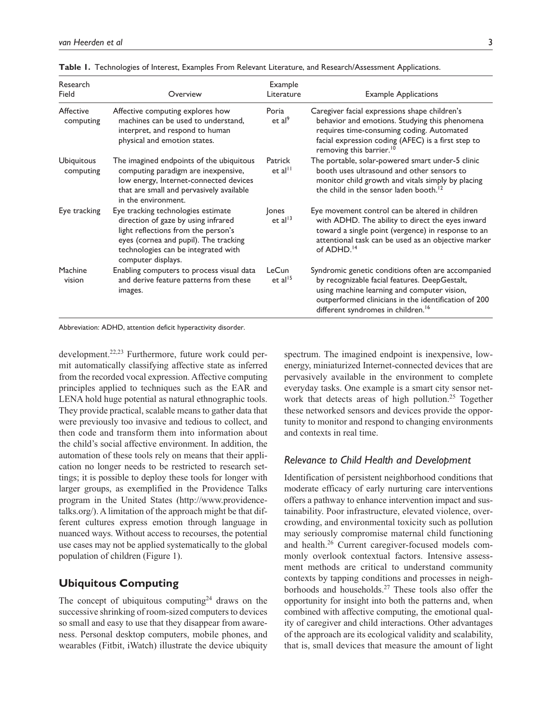| Research<br>Field       | Overview                                                                                                                                                                                                               | Example<br>Literature          | <b>Example Applications</b>                                                                                                                                                                                                                                  |
|-------------------------|------------------------------------------------------------------------------------------------------------------------------------------------------------------------------------------------------------------------|--------------------------------|--------------------------------------------------------------------------------------------------------------------------------------------------------------------------------------------------------------------------------------------------------------|
| Affective<br>computing  | Affective computing explores how<br>machines can be used to understand.<br>interpret, and respond to human<br>physical and emotion states.                                                                             | Poria<br>et al <sup>9</sup>    | Caregiver facial expressions shape children's<br>behavior and emotions. Studying this phenomena<br>requires time-consuming coding. Automated<br>facial expression coding (AFEC) is a first step to<br>removing this barrier. <sup>10</sup>                   |
| Ubiquitous<br>computing | The imagined endpoints of the ubiquitous<br>computing paradigm are inexpensive,<br>low energy, Internet-connected devices<br>that are small and pervasively available<br>in the environment.                           | Patrick<br>et al <sup>11</sup> | The portable, solar-powered smart under-5 clinic<br>booth uses ultrasound and other sensors to<br>monitor child growth and vitals simply by placing<br>the child in the sensor laden booth. <sup>12</sup>                                                    |
| Eye tracking            | Eye tracking technologies estimate<br>direction of gaze by using infrared<br>light reflections from the person's<br>eyes (cornea and pupil). The tracking<br>technologies can be integrated with<br>computer displays. | <b>lones</b><br>et al $^{13}$  | Eye movement control can be altered in children<br>with ADHD. The ability to direct the eyes inward<br>toward a single point (vergence) in response to an<br>attentional task can be used as an objective marker<br>of ADHD. <sup>14</sup>                   |
| Machine<br>vision       | Enabling computers to process visual data<br>and derive feature patterns from these<br>images.                                                                                                                         | LeCun<br>et al $^{15}$         | Syndromic genetic conditions often are accompanied<br>by recognizable facial features. DeepGestalt,<br>using machine learning and computer vision,<br>outperformed clinicians in the identification of 200<br>different syndromes in children. <sup>16</sup> |

**Table 1.** Technologies of Interest, Examples From Relevant Literature, and Research/Assessment Applications.

Abbreviation: ADHD, attention deficit hyperactivity disorder.

development.22,23 Furthermore, future work could permit automatically classifying affective state as inferred from the recorded vocal expression. Affective computing principles applied to techniques such as the EAR and LENA hold huge potential as natural ethnographic tools. They provide practical, scalable means to gather data that were previously too invasive and tedious to collect, and then code and transform them into information about the child's social affective environment. In addition, the automation of these tools rely on means that their application no longer needs to be restricted to research settings; it is possible to deploy these tools for longer with larger groups, as exemplified in the Providence Talks program in the United States [\(http://www.providence](http://www.providencetalks.org/)[talks.org/\)](http://www.providencetalks.org/). A limitation of the approach might be that different cultures express emotion through language in nuanced ways. Without access to recourses, the potential use cases may not be applied systematically to the global population of children (Figure 1).

# **Ubiquitous Computing**

The concept of ubiquitous computing<sup>24</sup> draws on the successive shrinking of room-sized computers to devices so small and easy to use that they disappear from awareness. Personal desktop computers, mobile phones, and wearables (Fitbit, iWatch) illustrate the device ubiquity spectrum. The imagined endpoint is inexpensive, lowenergy, miniaturized Internet-connected devices that are pervasively available in the environment to complete everyday tasks. One example is a smart city sensor network that detects areas of high pollution.<sup>25</sup> Together these networked sensors and devices provide the opportunity to monitor and respond to changing environments and contexts in real time.

# *Relevance to Child Health and Development*

Identification of persistent neighborhood conditions that moderate efficacy of early nurturing care interventions offers a pathway to enhance intervention impact and sustainability. Poor infrastructure, elevated violence, overcrowding, and environmental toxicity such as pollution may seriously compromise maternal child functioning and health.26 Current caregiver-focused models commonly overlook contextual factors. Intensive assessment methods are critical to understand community contexts by tapping conditions and processes in neighborhoods and households.27 These tools also offer the opportunity for insight into both the patterns and, when combined with affective computing, the emotional quality of caregiver and child interactions. Other advantages of the approach are its ecological validity and scalability, that is, small devices that measure the amount of light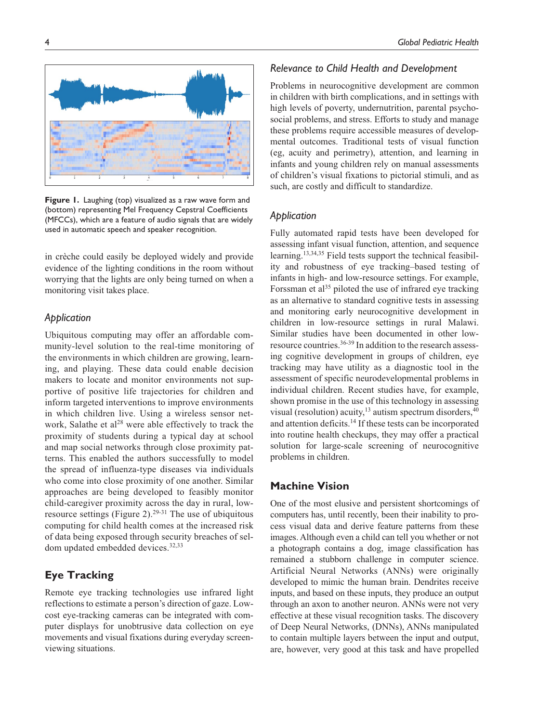**Figure 1.** Laughing (top) visualized as a raw wave form and (bottom) representing Mel Frequency Cepstral Coefficients (MFCCs), which are a feature of audio signals that are widely used in automatic speech and speaker recognition.

in crèche could easily be deployed widely and provide evidence of the lighting conditions in the room without worrying that the lights are only being turned on when a monitoring visit takes place.

### *Application*

Ubiquitous computing may offer an affordable community-level solution to the real-time monitoring of the environments in which children are growing, learning, and playing. These data could enable decision makers to locate and monitor environments not supportive of positive life trajectories for children and inform targeted interventions to improve environments in which children live. Using a wireless sensor network, Salathe et al<sup>28</sup> were able effectively to track the proximity of students during a typical day at school and map social networks through close proximity patterns. This enabled the authors successfully to model the spread of influenza-type diseases via individuals who come into close proximity of one another. Similar approaches are being developed to feasibly monitor child-caregiver proximity across the day in rural, lowresource settings (Figure 2).<sup>29-31</sup> The use of ubiquitous computing for child health comes at the increased risk of data being exposed through security breaches of seldom updated embedded devices.32,33

# **Eye Tracking**

Remote eye tracking technologies use infrared light reflections to estimate a person's direction of gaze. Lowcost eye-tracking cameras can be integrated with computer displays for unobtrusive data collection on eye movements and visual fixations during everyday screenviewing situations.

### *Relevance to Child Health and Development*

Problems in neurocognitive development are common in children with birth complications, and in settings with high levels of poverty, undernutrition, parental psychosocial problems, and stress. Efforts to study and manage these problems require accessible measures of developmental outcomes. Traditional tests of visual function (eg, acuity and perimetry), attention, and learning in infants and young children rely on manual assessments of children's visual fixations to pictorial stimuli, and as such, are costly and difficult to standardize.

### *Application*

Fully automated rapid tests have been developed for assessing infant visual function, attention, and sequence learning.<sup>13,34,35</sup> Field tests support the technical feasibility and robustness of eye tracking–based testing of infants in high- and low-resource settings. For example, Forssman et al<sup>35</sup> piloted the use of infrared eye tracking as an alternative to standard cognitive tests in assessing and monitoring early neurocognitive development in children in low-resource settings in rural Malawi. Similar studies have been documented in other lowresource countries.36-39 In addition to the research assessing cognitive development in groups of children, eye tracking may have utility as a diagnostic tool in the assessment of specific neurodevelopmental problems in individual children. Recent studies have, for example, shown promise in the use of this technology in assessing visual (resolution) acuity,<sup>13</sup> autism spectrum disorders, $40$ and attention deficits.<sup>14</sup> If these tests can be incorporated into routine health checkups, they may offer a practical solution for large-scale screening of neurocognitive problems in children.

# **Machine Vision**

One of the most elusive and persistent shortcomings of computers has, until recently, been their inability to process visual data and derive feature patterns from these images. Although even a child can tell you whether or not a photograph contains a dog, image classification has remained a stubborn challenge in computer science. Artificial Neural Networks (ANNs) were originally developed to mimic the human brain. Dendrites receive inputs, and based on these inputs, they produce an output through an axon to another neuron. ANNs were not very effective at these visual recognition tasks. The discovery of Deep Neural Networks, (DNNs), ANNs manipulated to contain multiple layers between the input and output, are, however, very good at this task and have propelled

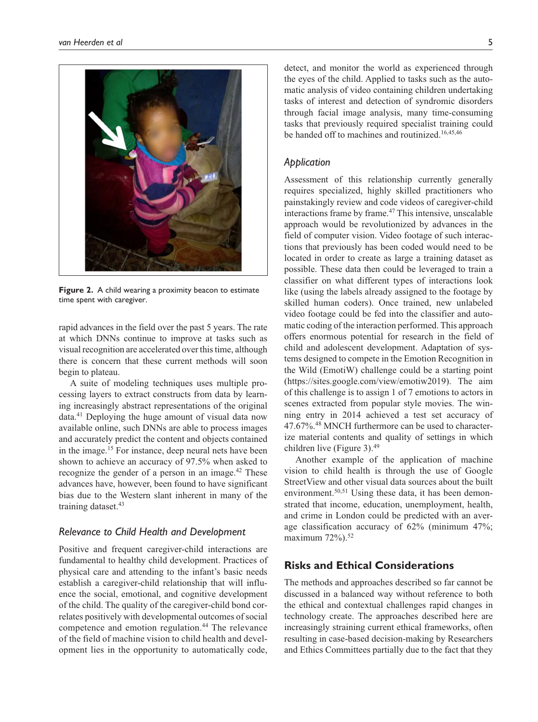

**Figure 2.** A child wearing a proximity beacon to estimate time spent with caregiver.

rapid advances in the field over the past 5 years. The rate at which DNNs continue to improve at tasks such as visual recognition are accelerated over this time, although there is concern that these current methods will soon begin to plateau.

A suite of modeling techniques uses multiple processing layers to extract constructs from data by learning increasingly abstract representations of the original data.41 Deploying the huge amount of visual data now available online, such DNNs are able to process images and accurately predict the content and objects contained in the image.15 For instance, deep neural nets have been shown to achieve an accuracy of 97.5% when asked to recognize the gender of a person in an image.42 These advances have, however, been found to have significant bias due to the Western slant inherent in many of the training dataset.<sup>43</sup>

### *Relevance to Child Health and Development*

Positive and frequent caregiver-child interactions are fundamental to healthy child development. Practices of physical care and attending to the infant's basic needs establish a caregiver-child relationship that will influence the social, emotional, and cognitive development of the child. The quality of the caregiver-child bond correlates positively with developmental outcomes of social competence and emotion regulation.<sup>44</sup> The relevance of the field of machine vision to child health and development lies in the opportunity to automatically code,

detect, and monitor the world as experienced through the eyes of the child. Applied to tasks such as the automatic analysis of video containing children undertaking tasks of interest and detection of syndromic disorders through facial image analysis, many time-consuming tasks that previously required specialist training could be handed off to machines and routinized.<sup>16,45,46</sup>

### *Application*

Assessment of this relationship currently generally requires specialized, highly skilled practitioners who painstakingly review and code videos of caregiver-child interactions frame by frame.<sup>47</sup> This intensive, unscalable approach would be revolutionized by advances in the field of computer vision. Video footage of such interactions that previously has been coded would need to be located in order to create as large a training dataset as possible. These data then could be leveraged to train a classifier on what different types of interactions look like (using the labels already assigned to the footage by skilled human coders). Once trained, new unlabeled video footage could be fed into the classifier and automatic coding of the interaction performed. This approach offers enormous potential for research in the field of child and adolescent development. Adaptation of systems designed to compete in the Emotion Recognition in the Wild (EmotiW) challenge could be a starting point ([https://sites.google.com/view/emotiw2019\)](https://sites.google.com/view/emotiw2019). The aim of this challenge is to assign 1 of 7 emotions to actors in scenes extracted from popular style movies. The winning entry in 2014 achieved a test set accuracy of 47.67%.48 MNCH furthermore can be used to characterize material contents and quality of settings in which children live (Figure 3).49

Another example of the application of machine vision to child health is through the use of Google StreetView and other visual data sources about the built environment.<sup>50,51</sup> Using these data, it has been demonstrated that income, education, unemployment, health, and crime in London could be predicted with an average classification accuracy of 62% (minimum 47%; maximum 72%).<sup>52</sup>

# **Risks and Ethical Considerations**

The methods and approaches described so far cannot be discussed in a balanced way without reference to both the ethical and contextual challenges rapid changes in technology create. The approaches described here are increasingly straining current ethical frameworks, often resulting in case-based decision-making by Researchers and Ethics Committees partially due to the fact that they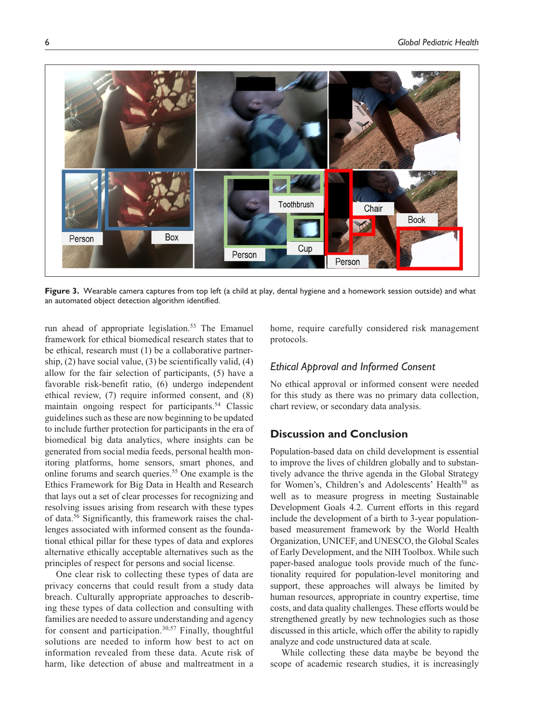

**Figure 3.** Wearable camera captures from top left (a child at play, dental hygiene and a homework session outside) and what an automated object detection algorithm identified.

run ahead of appropriate legislation.<sup>53</sup> The Emanuel framework for ethical biomedical research states that to be ethical, research must (1) be a collaborative partnership,  $(2)$  have social value,  $(3)$  be scientifically valid,  $(4)$ allow for the fair selection of participants, (5) have a favorable risk-benefit ratio, (6) undergo independent ethical review, (7) require informed consent, and (8) maintain ongoing respect for participants.<sup>54</sup> Classic guidelines such as these are now beginning to be updated to include further protection for participants in the era of biomedical big data analytics, where insights can be generated from social media feeds, personal health monitoring platforms, home sensors, smart phones, and online forums and search queries.55 One example is the Ethics Framework for Big Data in Health and Research that lays out a set of clear processes for recognizing and resolving issues arising from research with these types of data.56 Significantly, this framework raises the challenges associated with informed consent as the foundational ethical pillar for these types of data and explores alternative ethically acceptable alternatives such as the principles of respect for persons and social license.

One clear risk to collecting these types of data are privacy concerns that could result from a study data breach. Culturally appropriate approaches to describing these types of data collection and consulting with families are needed to assure understanding and agency for consent and participation.<sup>30,57</sup> Finally, thoughtful solutions are needed to inform how best to act on information revealed from these data. Acute risk of harm, like detection of abuse and maltreatment in a

home, require carefully considered risk management protocols.

# *Ethical Approval and Informed Consent*

No ethical approval or informed consent were needed for this study as there was no primary data collection, chart review, or secondary data analysis.

# **Discussion and Conclusion**

Population-based data on child development is essential to improve the lives of children globally and to substantively advance the thrive agenda in the Global Strategy for Women's, Children's and Adolescents' Health<sup>58</sup> as well as to measure progress in meeting Sustainable Development Goals 4.2. Current efforts in this regard include the development of a birth to 3-year populationbased measurement framework by the World Health Organization, UNICEF, and UNESCO, the Global Scales of Early Development, and the NIH Toolbox. While such paper-based analogue tools provide much of the functionality required for population-level monitoring and support, these approaches will always be limited by human resources, appropriate in country expertise, time costs, and data quality challenges. These efforts would be strengthened greatly by new technologies such as those discussed in this article, which offer the ability to rapidly analyze and code unstructured data at scale.

While collecting these data maybe be beyond the scope of academic research studies, it is increasingly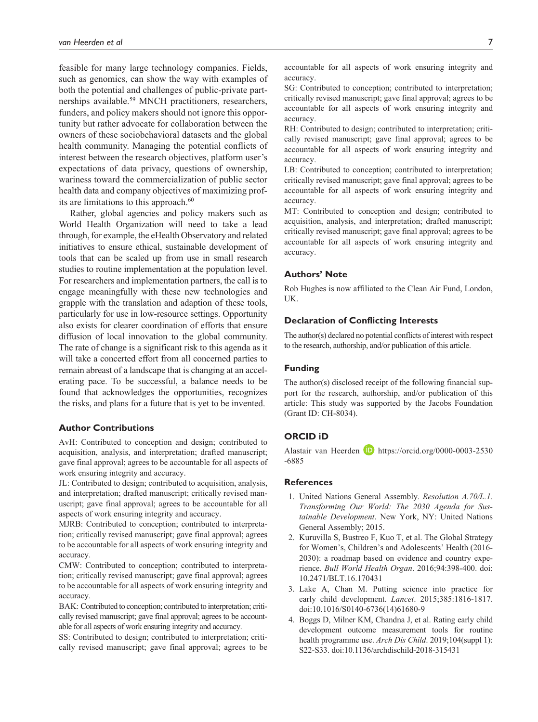feasible for many large technology companies. Fields, such as genomics, can show the way with examples of both the potential and challenges of public-private partnerships available.<sup>59</sup> MNCH practitioners, researchers, funders, and policy makers should not ignore this opportunity but rather advocate for collaboration between the owners of these sociobehavioral datasets and the global health community. Managing the potential conflicts of interest between the research objectives, platform user's expectations of data privacy, questions of ownership, wariness toward the commercialization of public sector health data and company objectives of maximizing profits are limitations to this approach.<sup>60</sup>

Rather, global agencies and policy makers such as World Health Organization will need to take a lead through, for example, the eHealth Observatory and related initiatives to ensure ethical, sustainable development of tools that can be scaled up from use in small research studies to routine implementation at the population level. For researchers and implementation partners, the call is to engage meaningfully with these new technologies and grapple with the translation and adaption of these tools, particularly for use in low-resource settings. Opportunity also exists for clearer coordination of efforts that ensure diffusion of local innovation to the global community. The rate of change is a significant risk to this agenda as it will take a concerted effort from all concerned parties to remain abreast of a landscape that is changing at an accelerating pace. To be successful, a balance needs to be found that acknowledges the opportunities, recognizes the risks, and plans for a future that is yet to be invented.

#### **Author Contributions**

AvH: Contributed to conception and design; contributed to acquisition, analysis, and interpretation; drafted manuscript; gave final approval; agrees to be accountable for all aspects of work ensuring integrity and accuracy.

JL: Contributed to design; contributed to acquisition, analysis, and interpretation; drafted manuscript; critically revised manuscript; gave final approval; agrees to be accountable for all aspects of work ensuring integrity and accuracy.

MJRB: Contributed to conception; contributed to interpretation; critically revised manuscript; gave final approval; agrees to be accountable for all aspects of work ensuring integrity and accuracy.

CMW: Contributed to conception; contributed to interpretation; critically revised manuscript; gave final approval; agrees to be accountable for all aspects of work ensuring integrity and accuracy.

BAK: Contributed to conception; contributed to interpretation; critically revised manuscript; gave final approval; agrees to be accountable for all aspects of work ensuring integrity and accuracy.

SS: Contributed to design; contributed to interpretation; critically revised manuscript; gave final approval; agrees to be accountable for all aspects of work ensuring integrity and accuracy.

SG: Contributed to conception; contributed to interpretation; critically revised manuscript; gave final approval; agrees to be accountable for all aspects of work ensuring integrity and accuracy.

RH: Contributed to design; contributed to interpretation; critically revised manuscript; gave final approval; agrees to be accountable for all aspects of work ensuring integrity and accuracy.

LB: Contributed to conception; contributed to interpretation; critically revised manuscript; gave final approval; agrees to be accountable for all aspects of work ensuring integrity and accuracy.

MT: Contributed to conception and design; contributed to acquisition, analysis, and interpretation; drafted manuscript; critically revised manuscript; gave final approval; agrees to be accountable for all aspects of work ensuring integrity and accuracy.

### **Authors' Note**

Rob Hughes is now affiliated to the Clean Air Fund, London, UK.

#### **Declaration of Conflicting Interests**

The author(s) declared no potential conflicts of interest with respect to the research, authorship, and/or publication of this article.

#### **Funding**

The author(s) disclosed receipt of the following financial support for the research, authorship, and/or publication of this article: This study was supported by the Jacobs Foundation (Grant ID: CH-8034).

#### **ORCID iD**

Alastair van Heerden **D** <https://orcid.org/0000-0003-2530> -6885

#### **References**

- 1. United Nations General Assembly. *Resolution A.70/L.1. Transforming Our World: The 2030 Agenda for Sustainable Development*. New York, NY: United Nations General Assembly; 2015.
- 2. Kuruvilla S, Bustreo F, Kuo T, et al. The Global Strategy for Women's, Children's and Adolescents' Health (2016- 2030): a roadmap based on evidence and country experience. *Bull World Health Organ*. 2016;94:398-400. doi: 10.2471/BLT.16.170431
- 3. Lake A, Chan M. Putting science into practice for early child development. *Lancet*. 2015;385:1816-1817. doi:10.1016/S0140-6736(14)61680-9
- 4. Boggs D, Milner KM, Chandna J, et al. Rating early child development outcome measurement tools for routine health programme use. *Arch Dis Child*. 2019;104(suppl 1): S22-S33. doi:10.1136/archdischild-2018-315431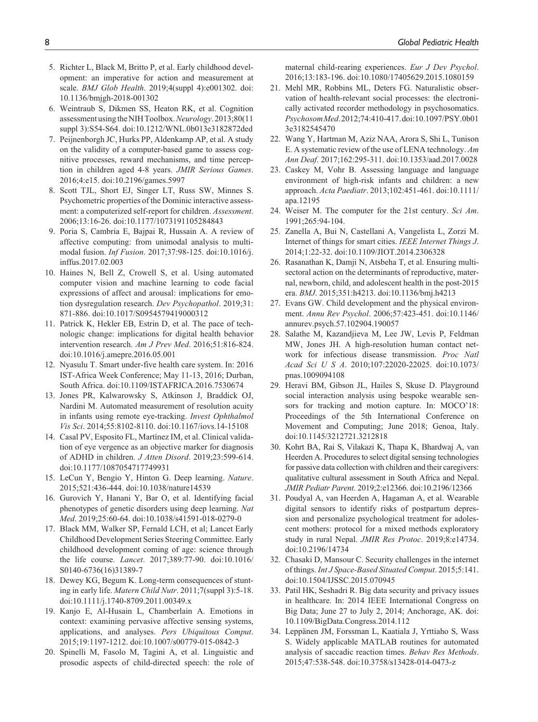- 5. Richter L, Black M, Britto P, et al. Early childhood development: an imperative for action and measurement at scale. *BMJ Glob Health*. 2019;4(suppl 4):e001302. doi: 10.1136/bmjgh-2018-001302
- 6. Weintraub S, Dikmen SS, Heaton RK, et al. Cognition assessment using the NIH Toolbox. *Neurology*. 2013;80(11 suppl 3):S54-S64. doi:10.1212/WNL.0b013e3182872ded
- 7. Peijnenborgh JC, Hurks PP, Aldenkamp AP, et al. A study on the validity of a computer-based game to assess cognitive processes, reward mechanisms, and time perception in children aged 4-8 years. *JMIR Serious Games*. 2016;4:e15. doi:10.2196/games.5997
- 8. Scott TJL, Short EJ, Singer LT, Russ SW, Minnes S. Psychometric properties of the Dominic interactive assessment: a computerized self-report for children. *Assessment*. 2006;13:16-26. doi:10.1177/1073191105284843
- 9. Poria S, Cambria E, Bajpai R, Hussain A. A review of affective computing: from unimodal analysis to multimodal fusion. *Inf Fusion*. 2017;37:98-125. doi:10.1016/j. inffus.2017.02.003
- 10. Haines N, Bell Z, Crowell S, et al. Using automated computer vision and machine learning to code facial expressions of affect and arousal: implications for emotion dysregulation research. *Dev Psychopathol*. 2019;31: 871-886. doi:10.1017/S0954579419000312
- 11. Patrick K, Hekler EB, Estrin D, et al. The pace of technologic change: implications for digital health behavior intervention research. *Am J Prev Med*. 2016;51:816-824. doi:10.1016/j.amepre.2016.05.001
- 12. Nyasulu T. Smart under-five health care system. In: 2016 IST-Africa Week Conference; May 11-13, 2016; Durban, South Africa. doi:10.1109/ISTAFRICA.2016.7530674
- 13. Jones PR, Kalwarowsky S, Atkinson J, Braddick OJ, Nardini M. Automated measurement of resolution acuity in infants using remote eye-tracking. *Invest Ophthalmol Vis Sci*. 2014;55:8102-8110. doi:10.1167/iovs.14-15108
- 14. Casal PV, Esposito FL, Martínez IM, et al. Clinical validation of eye vergence as an objective marker for diagnosis of ADHD in children. *J Atten Disord*. 2019;23:599-614. doi:10.1177/1087054717749931
- 15. LeCun Y, Bengio Y, Hinton G. Deep learning. *Nature*. 2015;521:436-444. doi:10.1038/nature14539
- 16. Gurovich Y, Hanani Y, Bar O, et al. Identifying facial phenotypes of genetic disorders using deep learning. *Nat Med*. 2019;25:60-64. doi:10.1038/s41591-018-0279-0
- 17. Black MM, Walker SP, Fernald LCH, et al; Lancet Early Childhood Development Series Steering Committee. Early childhood development coming of age: science through the life course. *Lancet*. 2017;389:77-90. doi:10.1016/ S0140-6736(16)31389-7
- 18. Dewey KG, Begum K. Long-term consequences of stunting in early life. *Matern Child Nutr*. 2011;7(suppl 3):5-18. doi:10.1111/j.1740-8709.2011.00349.x
- 19. Kanjo E, Al-Husain L, Chamberlain A. Emotions in context: examining pervasive affective sensing systems, applications, and analyses. *Pers Ubiquitous Comput*. 2015;19:1197-1212. doi:10.1007/s00779-015-0842-3
- 20. Spinelli M, Fasolo M, Tagini A, et al. Linguistic and prosodic aspects of child-directed speech: the role of

maternal child-rearing experiences. *Eur J Dev Psychol*. 2016;13:183-196. doi:10.1080/17405629.2015.1080159

- 21. Mehl MR, Robbins ML, Deters FG. Naturalistic observation of health-relevant social processes: the electronically activated recorder methodology in psychosomatics. *Psychosom Med*. 2012;74:410-417. doi:10.1097/PSY.0b01 3e3182545470
- 22. Wang Y, Hartman M, Aziz NAA, Arora S, Shi L, Tunison E. A systematic review of the use of LENA technology. *Am Ann Deaf*. 2017;162:295-311. doi:10.1353/aad.2017.0028
- 23. Caskey M, Vohr B. Assessing language and language environment of high-risk infants and children: a new approach. *Acta Paediatr*. 2013;102:451-461. doi:10.1111/ apa.12195
- 24. Weiser M. The computer for the 21st century. *Sci Am*. 1991;265:94-104.
- 25. Zanella A, Bui N, Castellani A, Vangelista L, Zorzi M. Internet of things for smart cities. *IEEE Internet Things J*. 2014;1:22-32. doi:10.1109/JIOT.2014.2306328
- 26. Rasanathan K, Damji N, Atsbeha T, et al. Ensuring multisectoral action on the determinants of reproductive, maternal, newborn, child, and adolescent health in the post-2015 era. *BMJ*. 2015;351:h4213. doi:10.1136/bmj.h4213
- 27. Evans GW. Child development and the physical environment. *Annu Rev Psychol*. 2006;57:423-451. doi:10.1146/ annurev.psych.57.102904.190057
- 28. Salathe M, Kazandjieva M, Lee JW, Levis P, Feldman MW, Jones JH. A high-resolution human contact network for infectious disease transmission. *Proc Natl Acad Sci U S A*. 2010;107:22020-22025. doi:10.1073/ pnas.1009094108
- 29. Heravi BM, Gibson JL, Hailes S, Skuse D. Playground social interaction analysis using bespoke wearable sensors for tracking and motion capture. In: MOCO'18: Proceedings of the 5th International Conference on Movement and Computing; June 2018; Genoa, Italy. doi:10.1145/3212721.3212818
- 30. Kohrt BA, Rai S, Vilakazi K, Thapa K, Bhardwaj A, van Heerden A. Procedures to select digital sensing technologies for passive data collection with children and their caregivers: qualitative cultural assessment in South Africa and Nepal. *JMIR Pediatr Parent*. 2019;2:e12366. doi:10.2196/12366
- 31. Poudyal A, van Heerden A, Hagaman A, et al. Wearable digital sensors to identify risks of postpartum depression and personalize psychological treatment for adolescent mothers: protocol for a mixed methods exploratory study in rural Nepal. *JMIR Res Protoc*. 2019;8:e14734. doi:10.2196/14734
- 32. Chasaki D, Mansour C. Security challenges in the internet of things. *Int J Space-Based Situated Comput*. 2015;5:141. doi:10.1504/IJSSC.2015.070945
- 33. Patil HK, Seshadri R. Big data security and privacy issues in healthcare. In: 2014 IEEE International Congress on Big Data; June 27 to July 2, 2014; Anchorage, AK. doi: 10.1109/BigData.Congress.2014.112
- 34. Leppänen JM, Forssman L, Kaatiala J, Yrttiaho S, Wass S. Widely applicable MATLAB routines for automated analysis of saccadic reaction times. *Behav Res Methods*. 2015;47:538-548. doi:10.3758/s13428-014-0473-z